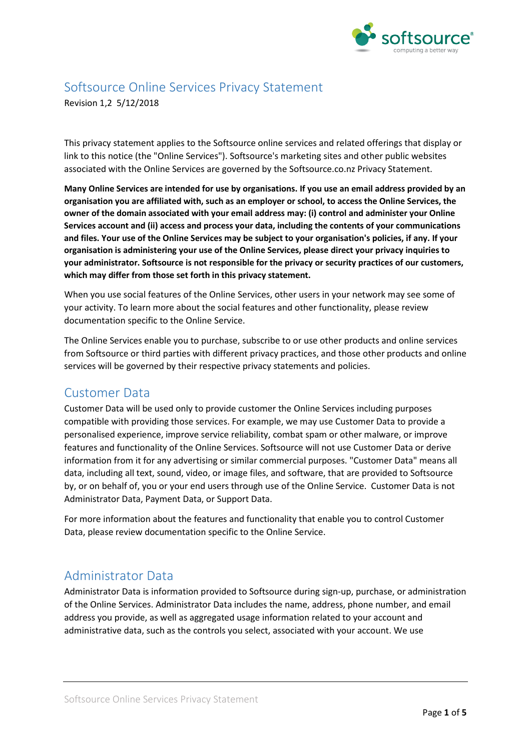

# Softsource Online Services Privacy Statement

Revision 1,2 5/12/2018

This privacy statement applies to the Softsource online services and related offerings that display or link to this notice (the "Online Services"). Softsource's marketing sites and other public websites associated with the Online Services are governed by the Softsource.co.nz Privacy Statement.

Many Online Services are intended for use by organisations. If you use an email address provided by an **organisation you are affiliated with, such as an employer or school, to access the Online Services, the owner of the domain associated with your email address may: (i) control and administer your Online Services account and (ii) access and process your data, including the contents of your communications** and files. Your use of the Online Services may be subject to your organisation's policies, if any. If your **organisation is administering your use of the Online Services, please direct your privacy inquiries to your administrator. Softsource is not responsible for the privacy or security practices of our customers, which may differ from those set forth in this privacy statement.**

When you use social features of the Online Services, other users in your network may see some of your activity. To learn more about the social features and other functionality, please review documentation specific to the Online Service.

The Online Services enable you to purchase, subscribe to or use other products and online services from Softsource or third parties with different privacy practices, and those other products and online services will be governed by their respective privacy statements and policies.

#### Customer Data

Customer Data will be used only to provide customer the Online Services including purposes compatible with providing those services. For example, we may use Customer Data to provide a personalised experience, improve service reliability, combat spam or other malware, or improve features and functionality of the Online Services. Softsource will not use Customer Data or derive information from it for any advertising or similar commercial purposes. "Customer Data" means all data, including all text, sound, video, or image files, and software, that are provided to Softsource by, or on behalf of, you or your end users through use of the Online Service. Customer Data is not Administrator Data, Payment Data, or Support Data.

For more information about the features and functionality that enable you to control Customer Data, please review documentation specific to the Online Service.

### Administrator Data

Administrator Data is information provided to Softsource during sign-up, purchase, or administration of the Online Services. Administrator Data includes the name, address, phone number, and email address you provide, as well as aggregated usage information related to your account and administrative data, such as the controls you select, associated with your account. We use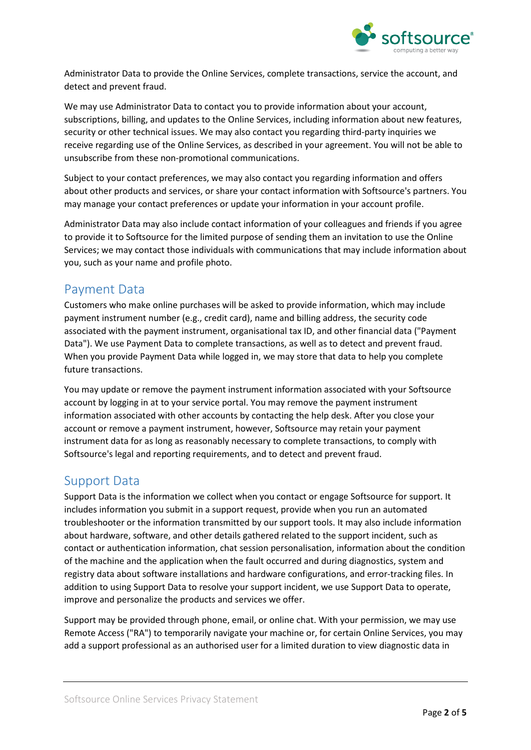

Administrator Data to provide the Online Services, complete transactions, service the account, and detect and prevent fraud.

We may use Administrator Data to contact you to provide information about your account, subscriptions, billing, and updates to the Online Services, including information about new features, security or other technical issues. We may also contact you regarding third-party inquiries we receive regarding use of the Online Services, as described in your agreement. You will not be able to unsubscribe from these non-promotional communications.

Subject to your contact preferences, we may also contact you regarding information and offers about other products and services, or share your contact information with Softsource's partners. You may manage your contact preferences or update your information in your account profile.

Administrator Data may also include contact information of your colleagues and friends if you agree to provide it to Softsource for the limited purpose of sending them an invitation to use the Online Services; we may contact those individuals with communications that may include information about you, such as your name and profile photo.

# Payment Data

Customers who make online purchases will be asked to provide information, which may include payment instrument number (e.g., credit card), name and billing address, the security code associated with the payment instrument, organisational tax ID, and other financial data ("Payment Data"). We use Payment Data to complete transactions, as well as to detect and prevent fraud. When you provide Payment Data while logged in, we may store that data to help you complete future transactions.

You may update or remove the payment instrument information associated with your Softsource account by logging in at to your service portal. You may remove the payment instrument information associated with other accounts by contacting the help desk. After you close your account or remove a payment instrument, however, Softsource may retain your payment instrument data for as long as reasonably necessary to complete transactions, to comply with Softsource's legal and reporting requirements, and to detect and prevent fraud.

### Support Data

Support Data is the information we collect when you contact or engage Softsource for support. It includes information you submit in a support request, provide when you run an automated troubleshooter or the information transmitted by our support tools. It may also include information about hardware, software, and other details gathered related to the support incident, such as contact or authentication information, chat session personalisation, information about the condition of the machine and the application when the fault occurred and during diagnostics, system and registry data about software installations and hardware configurations, and error-tracking files. In addition to using Support Data to resolve your support incident, we use Support Data to operate, improve and personalize the products and services we offer.

Support may be provided through phone, email, or online chat. With your permission, we may use Remote Access ("RA") to temporarily navigate your machine or, for certain Online Services, you may add a support professional as an authorised user for a limited duration to view diagnostic data in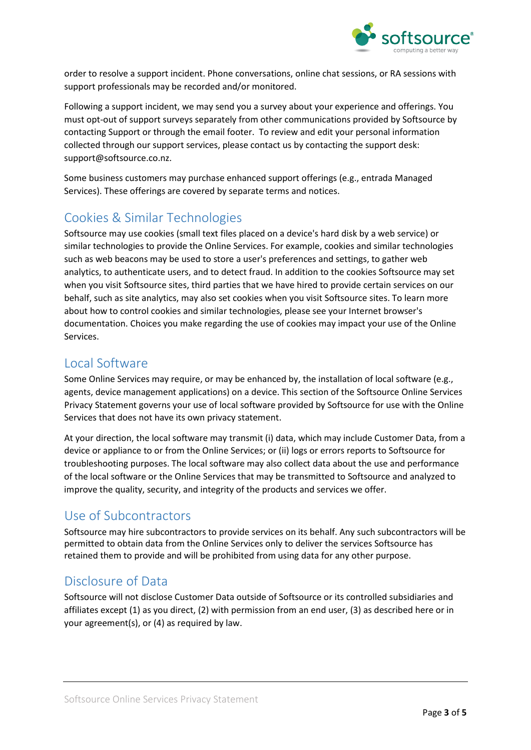

order to resolve a support incident. Phone conversations, online chat sessions, or RA sessions with support professionals may be recorded and/or monitored.

Following a support incident, we may send you a survey about your experience and offerings. You must opt-out of support surveys separately from other communications provided by Softsource by contacting Support or through the email footer. To review and edit your personal information collected through our support services, please contact us by contacting the support desk: support@softsource.co.nz.

Some business customers may purchase enhanced support offerings (e.g., entrada Managed Services). These offerings are covered by separate terms and notices.

# Cookies & Similar Technologies

Softsource may use cookies (small text files placed on a device's hard disk by a web service) or similar technologies to provide the Online Services. For example, cookies and similar technologies such as web beacons may be used to store a user's preferences and settings, to gather web analytics, to authenticate users, and to detect fraud. In addition to the cookies Softsource may set when you visit Softsource sites, third parties that we have hired to provide certain services on our behalf, such as site analytics, may also set cookies when you visit Softsource sites. To learn more about how to control cookies and similar technologies, please see your Internet browser's documentation. Choices you make regarding the use of cookies may impact your use of the Online Services.

### Local Software

Some Online Services may require, or may be enhanced by, the installation of local software (e.g., agents, device management applications) on a device. This section of the Softsource Online Services Privacy Statement governs your use of local software provided by Softsource for use with the Online Services that does not have its own privacy statement.

At your direction, the local software may transmit (i) data, which may include Customer Data, from a device or appliance to or from the Online Services; or (ii) logs or errors reports to Softsource for troubleshooting purposes. The local software may also collect data about the use and performance of the local software or the Online Services that may be transmitted to Softsource and analyzed to improve the quality, security, and integrity of the products and services we offer.

### Use of Subcontractors

Softsource may hire subcontractors to provide services on its behalf. Any such subcontractors will be permitted to obtain data from the Online Services only to deliver the services Softsource has retained them to provide and will be prohibited from using data for any other purpose.

# Disclosure of Data

Softsource will not disclose Customer Data outside of Softsource or its controlled subsidiaries and affiliates except (1) as you direct, (2) with permission from an end user, (3) as described here or in your agreement(s), or (4) as required by law.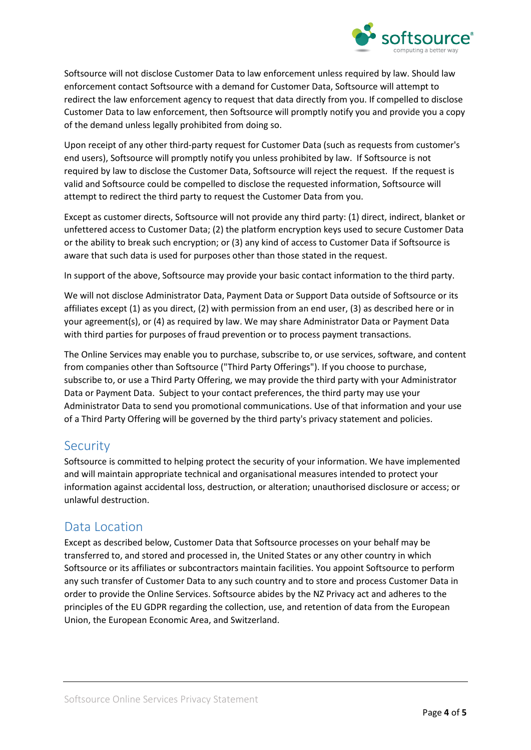

Softsource will not disclose Customer Data to law enforcement unless required by law. Should law enforcement contact Softsource with a demand for Customer Data, Softsource will attempt to redirect the law enforcement agency to request that data directly from you. If compelled to disclose Customer Data to law enforcement, then Softsource will promptly notify you and provide you a copy of the demand unless legally prohibited from doing so.

Upon receipt of any other third-party request for Customer Data (such as requests from customer's end users), Softsource will promptly notify you unless prohibited by law. If Softsource is not required by law to disclose the Customer Data, Softsource will reject the request. If the request is valid and Softsource could be compelled to disclose the requested information, Softsource will attempt to redirect the third party to request the Customer Data from you.

Except as customer directs, Softsource will not provide any third party: (1) direct, indirect, blanket or unfettered access to Customer Data; (2) the platform encryption keys used to secure Customer Data or the ability to break such encryption; or (3) any kind of access to Customer Data if Softsource is aware that such data is used for purposes other than those stated in the request.

In support of the above, Softsource may provide your basic contact information to the third party.

We will not disclose Administrator Data, Payment Data or Support Data outside of Softsource or its affiliates except (1) as you direct, (2) with permission from an end user, (3) as described here or in your agreement(s), or (4) as required by law. We may share Administrator Data or Payment Data with third parties for purposes of fraud prevention or to process payment transactions.

The Online Services may enable you to purchase, subscribe to, or use services, software, and content from companies other than Softsource ("Third Party Offerings"). If you choose to purchase, subscribe to, or use a Third Party Offering, we may provide the third party with your Administrator Data or Payment Data. Subject to your contact preferences, the third party may use your Administrator Data to send you promotional communications. Use of that information and your use of a Third Party Offering will be governed by the third party's privacy statement and policies.

#### Security

Softsource is committed to helping protect the security of your information. We have implemented and will maintain appropriate technical and organisational measures intended to protect your information against accidental loss, destruction, or alteration; unauthorised disclosure or access; or unlawful destruction.

### Data Location

Except as described below, Customer Data that Softsource processes on your behalf may be transferred to, and stored and processed in, the United States or any other country in which Softsource or its affiliates or subcontractors maintain facilities. You appoint Softsource to perform any such transfer of Customer Data to any such country and to store and process Customer Data in order to provide the Online Services. Softsource abides by the NZ Privacy act and adheres to the principles of the EU GDPR regarding the collection, use, and retention of data from the European Union, the European Economic Area, and Switzerland.